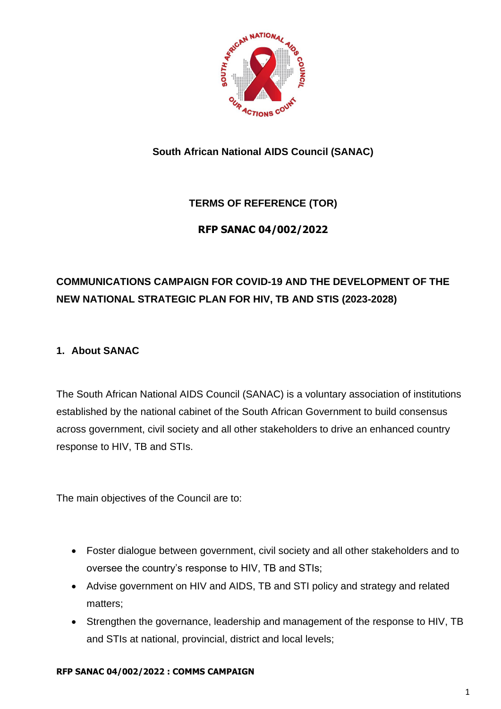

**South African National AIDS Council (SANAC)**

## **TERMS OF REFERENCE (TOR)**

## **RFP SANAC 04/002/2022**

# **COMMUNICATIONS CAMPAIGN FOR COVID-19 AND THE DEVELOPMENT OF THE NEW NATIONAL STRATEGIC PLAN FOR HIV, TB AND STIS (2023-2028)**

## **1. About SANAC**

The South African National AIDS Council (SANAC) is a voluntary association of institutions established by the national cabinet of the South African Government to build consensus across government, civil society and all other stakeholders to drive an enhanced country response to HIV, TB and STIs.

The main objectives of the Council are to:

- Foster dialogue between government, civil society and all other stakeholders and to oversee the country's response to HIV, TB and STIs;
- Advise government on HIV and AIDS, TB and STI policy and strategy and related matters;
- Strengthen the governance, leadership and management of the response to HIV, TB and STIs at national, provincial, district and local levels;

#### **RFP SANAC 04/002/2022 : COMMS CAMPAIGN**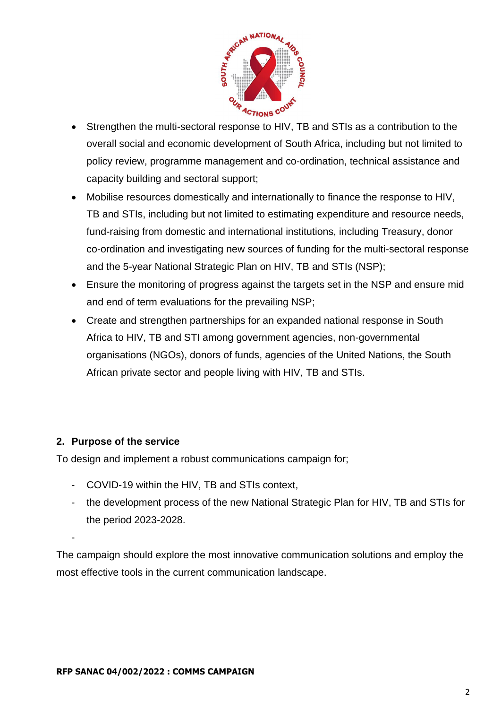

- Strengthen the multi-sectoral response to HIV, TB and STIs as a contribution to the overall social and economic development of South Africa, including but not limited to policy review, programme management and co-ordination, technical assistance and capacity building and sectoral support;
- Mobilise resources domestically and internationally to finance the response to HIV, TB and STIs, including but not limited to estimating expenditure and resource needs, fund-raising from domestic and international institutions, including Treasury, donor co-ordination and investigating new sources of funding for the multi-sectoral response and the 5-year National Strategic Plan on HIV, TB and STIs (NSP);
- Ensure the monitoring of progress against the targets set in the NSP and ensure mid and end of term evaluations for the prevailing NSP;
- Create and strengthen partnerships for an expanded national response in South Africa to HIV, TB and STI among government agencies, non-governmental organisations (NGOs), donors of funds, agencies of the United Nations, the South African private sector and people living with HIV, TB and STIs.

## **2. Purpose of the service**

-

To design and implement a robust communications campaign for;

- COVID-19 within the HIV, TB and STIs context,
- the development process of the new National Strategic Plan for HIV, TB and STIs for the period 2023-2028.

The campaign should explore the most innovative communication solutions and employ the most effective tools in the current communication landscape.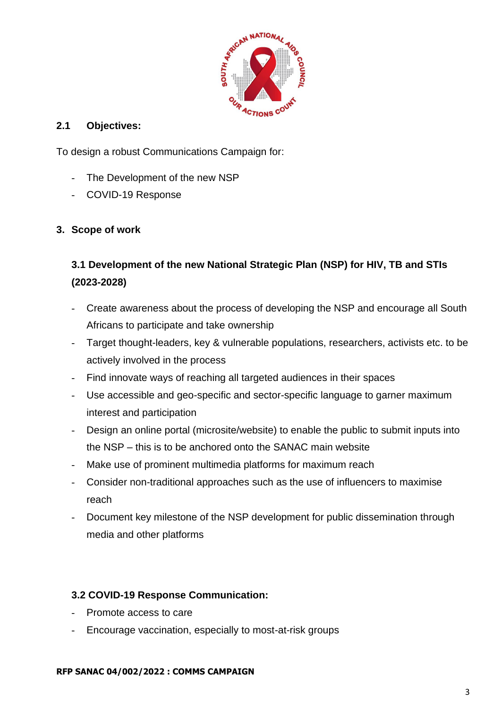

#### **2.1 Objectives:**

To design a robust Communications Campaign for:

- The Development of the new NSP
- COVID-19 Response

## **3. Scope of work**

# **3.1 Development of the new National Strategic Plan (NSP) for HIV, TB and STIs (2023-2028)**

- Create awareness about the process of developing the NSP and encourage all South Africans to participate and take ownership
- Target thought-leaders, key & vulnerable populations, researchers, activists etc. to be actively involved in the process
- Find innovate ways of reaching all targeted audiences in their spaces
- Use accessible and geo-specific and sector-specific language to garner maximum interest and participation
- Design an online portal (microsite/website) to enable the public to submit inputs into the NSP – this is to be anchored onto the SANAC main website
- Make use of prominent multimedia platforms for maximum reach
- Consider non-traditional approaches such as the use of influencers to maximise reach
- Document key milestone of the NSP development for public dissemination through media and other platforms

## **3.2 COVID-19 Response Communication:**

- Promote access to care
- Encourage vaccination, especially to most-at-risk groups

#### **RFP SANAC 04/002/2022 : COMMS CAMPAIGN**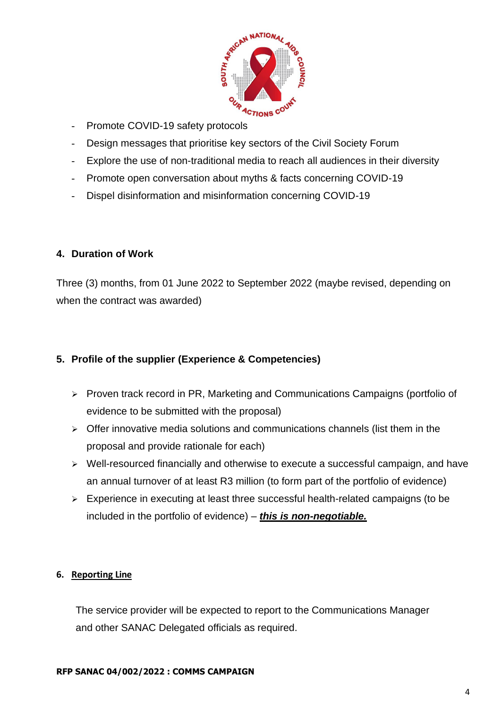

- Promote COVID-19 safety protocols
- Design messages that prioritise key sectors of the Civil Society Forum
- Explore the use of non-traditional media to reach all audiences in their diversity
- Promote open conversation about myths & facts concerning COVID-19
- Dispel disinformation and misinformation concerning COVID-19

#### **4. Duration of Work**

Three (3) months, from 01 June 2022 to September 2022 (maybe revised, depending on when the contract was awarded)

### **5. Profile of the supplier (Experience & Competencies)**

- ➢ Proven track record in PR, Marketing and Communications Campaigns (portfolio of evidence to be submitted with the proposal)
- ➢ Offer innovative media solutions and communications channels (list them in the proposal and provide rationale for each)
- ➢ Well-resourced financially and otherwise to execute a successful campaign, and have an annual turnover of at least R3 million (to form part of the portfolio of evidence)
- ➢ Experience in executing at least three successful health-related campaigns (to be included in the portfolio of evidence) – *this is non-negotiable.*

#### **6. Reporting Line**

The service provider will be expected to report to the Communications Manager and other SANAC Delegated officials as required.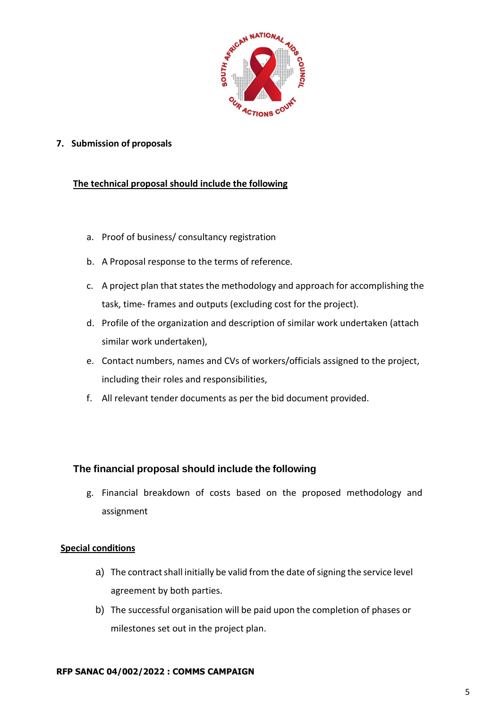

**7. Submission of proposals**

#### **The technical proposal should include the following**

- a. Proof of business/ consultancy registration
- b. A Proposal response to the terms of reference.
- c. A project plan that states the methodology and approach for accomplishing the task, time- frames and outputs (excluding cost for the project).
- d. Profile of the organization and description of similar work undertaken (attach similar work undertaken),
- e. Contact numbers, names and CVs of workers/officials assigned to the project, including their roles and responsibilities,
- f. All relevant tender documents as per the bid document provided.

#### **The financial proposal should include the following**

g. Financial breakdown of costs based on the proposed methodology and assignment

#### **Special conditions**

- a) The contract shall initially be valid from the date of signing the service level agreement by both parties.
- b) The successful organisation will be paid upon the completion of phases or milestones set out in the project plan.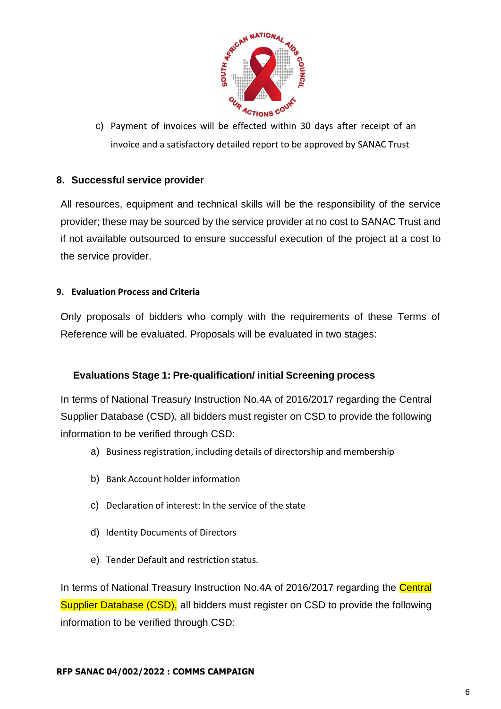

c) Payment of invoices will be effected within 30 days after receipt of an invoice and a satisfactory detailed report to be approved by SANAC Trust

### **8. Successful service provider**

All resources, equipment and technical skills will be the responsibility of the service provider; these may be sourced by the service provider at no cost to SANAC Trust and if not available outsourced to ensure successful execution of the project at a cost to the service provider.

#### **9. Evaluation Process and Criteria**

Only proposals of bidders who comply with the requirements of these Terms of Reference will be evaluated. Proposals will be evaluated in two stages:

#### **Evaluations Stage 1: Pre-qualification/ initial Screening process**

In terms of National Treasury Instruction No.4A of 2016/2017 regarding the Central Supplier Database (CSD), all bidders must register on CSD to provide the following information to be verified through CSD:

- a) Business registration, including details of directorship and membership
- b) Bank Account holder information
- c) Declaration of interest: In the service of the state
- d) Identity Documents of Directors
- e) Tender Default and restriction status.

In terms of National Treasury Instruction No.4A of 2016/2017 regarding the Central Supplier Database (CSD), all bidders must register on CSD to provide the following information to be verified through CSD: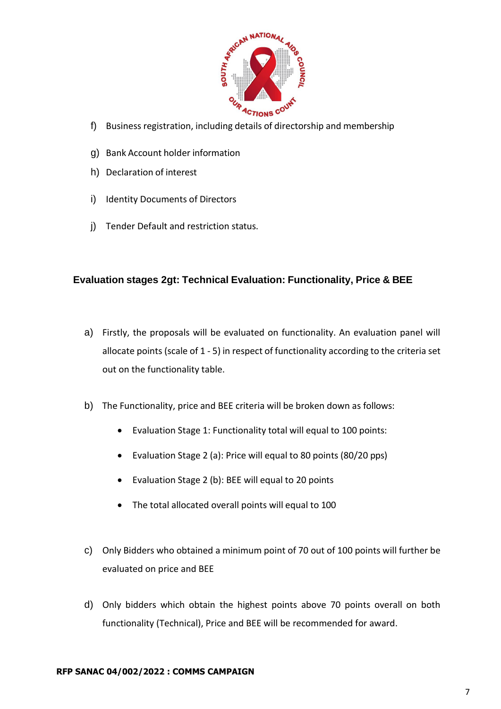

- f) Business registration, including details of directorship and membership
- g) Bank Account holder information
- h) Declaration of interest
- i) Identity Documents of Directors
- j) Tender Default and restriction status.

#### **Evaluation stages 2gt: Technical Evaluation: Functionality, Price & BEE**

- a) Firstly, the proposals will be evaluated on functionality. An evaluation panel will allocate points (scale of 1 - 5) in respect of functionality according to the criteria set out on the functionality table.
- b) The Functionality, price and BEE criteria will be broken down as follows:
	- Evaluation Stage 1: Functionality total will equal to 100 points:
	- Evaluation Stage 2 (a): Price will equal to 80 points (80/20 pps)
	- Evaluation Stage 2 (b): BEE will equal to 20 points
	- The total allocated overall points will equal to 100
- c) Only Bidders who obtained a minimum point of 70 out of 100 points will further be evaluated on price and BEE
- d) Only bidders which obtain the highest points above 70 points overall on both functionality (Technical), Price and BEE will be recommended for award.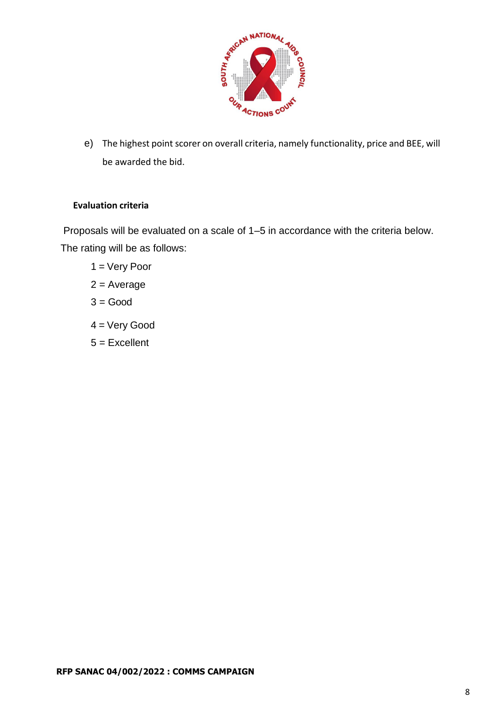

e) The highest point scorer on overall criteria, namely functionality, price and BEE, will be awarded the bid.

#### **Evaluation criteria**

Proposals will be evaluated on a scale of 1–5 in accordance with the criteria below. The rating will be as follows:

- 1 = Very Poor
- $2 = Average$
- $3 = Good$
- 4 = Very Good
- 5 = Excellent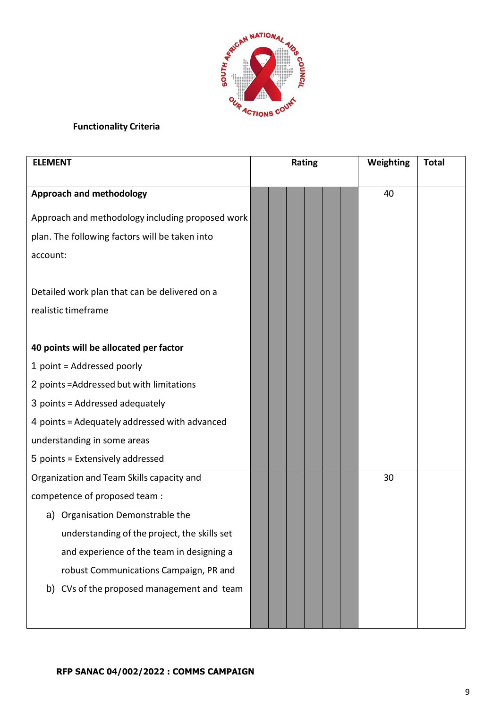

## **Functionality Criteria**

| <b>ELEMENT</b>                                   | Rating |  |  |  |  | Weighting | <b>Total</b> |  |
|--------------------------------------------------|--------|--|--|--|--|-----------|--------------|--|
|                                                  |        |  |  |  |  |           |              |  |
| <b>Approach and methodology</b>                  |        |  |  |  |  |           | 40           |  |
| Approach and methodology including proposed work |        |  |  |  |  |           |              |  |
| plan. The following factors will be taken into   |        |  |  |  |  |           |              |  |
| account:                                         |        |  |  |  |  |           |              |  |
|                                                  |        |  |  |  |  |           |              |  |
| Detailed work plan that can be delivered on a    |        |  |  |  |  |           |              |  |
| realistic timeframe                              |        |  |  |  |  |           |              |  |
|                                                  |        |  |  |  |  |           |              |  |
| 40 points will be allocated per factor           |        |  |  |  |  |           |              |  |
| 1 point = Addressed poorly                       |        |  |  |  |  |           |              |  |
| 2 points = Addressed but with limitations        |        |  |  |  |  |           |              |  |
| 3 points = Addressed adequately                  |        |  |  |  |  |           |              |  |
| 4 points = Adequately addressed with advanced    |        |  |  |  |  |           |              |  |
| understanding in some areas                      |        |  |  |  |  |           |              |  |
| 5 points = Extensively addressed                 |        |  |  |  |  |           |              |  |
| Organization and Team Skills capacity and        |        |  |  |  |  |           | 30           |  |
| competence of proposed team :                    |        |  |  |  |  |           |              |  |
| Organisation Demonstrable the<br>a)              |        |  |  |  |  |           |              |  |
| understanding of the project, the skills set     |        |  |  |  |  |           |              |  |
| and experience of the team in designing a        |        |  |  |  |  |           |              |  |
| robust Communications Campaign, PR and           |        |  |  |  |  |           |              |  |
| CVs of the proposed management and team<br>b)    |        |  |  |  |  |           |              |  |
|                                                  |        |  |  |  |  |           |              |  |
|                                                  |        |  |  |  |  |           |              |  |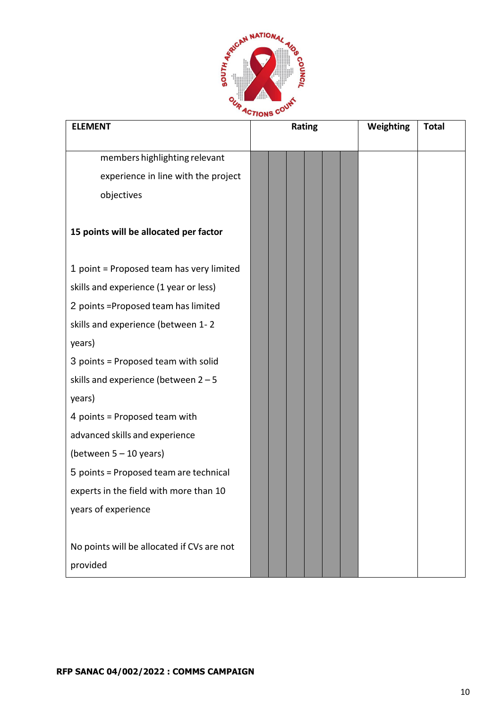

| <b>ELEMENT</b>                             | Rating | Weighting<br><b>Total</b> |
|--------------------------------------------|--------|---------------------------|
|                                            |        |                           |
| members highlighting relevant              |        |                           |
| experience in line with the project        |        |                           |
| objectives                                 |        |                           |
|                                            |        |                           |
| 15 points will be allocated per factor     |        |                           |
|                                            |        |                           |
| 1 point = Proposed team has very limited   |        |                           |
| skills and experience (1 year or less)     |        |                           |
| 2 points = Proposed team has limited       |        |                           |
| skills and experience (between 1-2         |        |                           |
| years)                                     |        |                           |
| 3 points = Proposed team with solid        |        |                           |
| skills and experience (between $2 - 5$     |        |                           |
| years)                                     |        |                           |
| 4 points = Proposed team with              |        |                           |
| advanced skills and experience             |        |                           |
| (between $5 - 10$ years)                   |        |                           |
| 5 points = Proposed team are technical     |        |                           |
| experts in the field with more than 10     |        |                           |
| years of experience                        |        |                           |
|                                            |        |                           |
| No points will be allocated if CVs are not |        |                           |
| provided                                   |        |                           |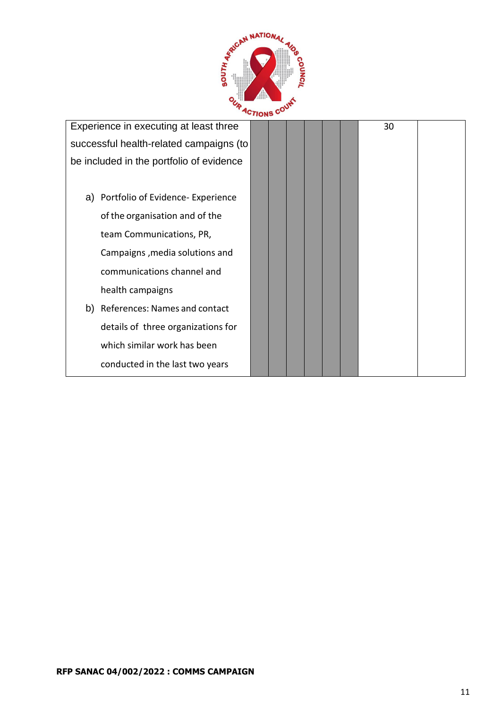

| Experience in executing at least three   |  |  |  | 30 |  |
|------------------------------------------|--|--|--|----|--|
| successful health-related campaigns (to  |  |  |  |    |  |
| be included in the portfolio of evidence |  |  |  |    |  |
|                                          |  |  |  |    |  |
| Portfolio of Evidence- Experience<br>a)  |  |  |  |    |  |
| of the organisation and of the           |  |  |  |    |  |
| team Communications, PR,                 |  |  |  |    |  |
| Campaigns, media solutions and           |  |  |  |    |  |
| communications channel and               |  |  |  |    |  |
| health campaigns                         |  |  |  |    |  |
| References: Names and contact<br>b)      |  |  |  |    |  |
| details of three organizations for       |  |  |  |    |  |
| which similar work has been              |  |  |  |    |  |
| conducted in the last two years          |  |  |  |    |  |
|                                          |  |  |  |    |  |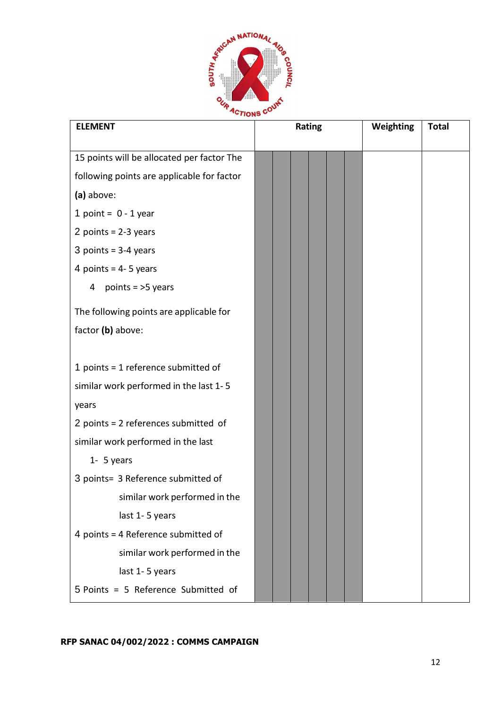

| <b>ELEMENT</b>                             | Rating | Weighting<br><b>Total</b> |
|--------------------------------------------|--------|---------------------------|
|                                            |        |                           |
| 15 points will be allocated per factor The |        |                           |
| following points are applicable for factor |        |                           |
| (a) above:                                 |        |                           |
| 1 point = $0 - 1$ year                     |        |                           |
| 2 points = $2-3$ years                     |        |                           |
| 3 points = $3-4$ years                     |        |                           |
| 4 points = $4 - 5$ years                   |        |                           |
| points $=$ >5 years<br>4                   |        |                           |
| The following points are applicable for    |        |                           |
| factor (b) above:                          |        |                           |
|                                            |        |                           |
| 1 points = 1 reference submitted of        |        |                           |
| similar work performed in the last 1-5     |        |                           |
| years                                      |        |                           |
| 2 points = 2 references submitted of       |        |                           |
| similar work performed in the last         |        |                           |
| $1 - 5$ years                              |        |                           |
| 3 points= 3 Reference submitted of         |        |                           |
| similar work performed in the              |        |                           |
| last 1-5 years                             |        |                           |
| 4 points = 4 Reference submitted of        |        |                           |
| similar work performed in the              |        |                           |
| last 1-5 years                             |        |                           |
| 5 Points = 5 Reference Submitted of        |        |                           |

**RFP SANAC 04/002/2022 : COMMS CAMPAIGN**